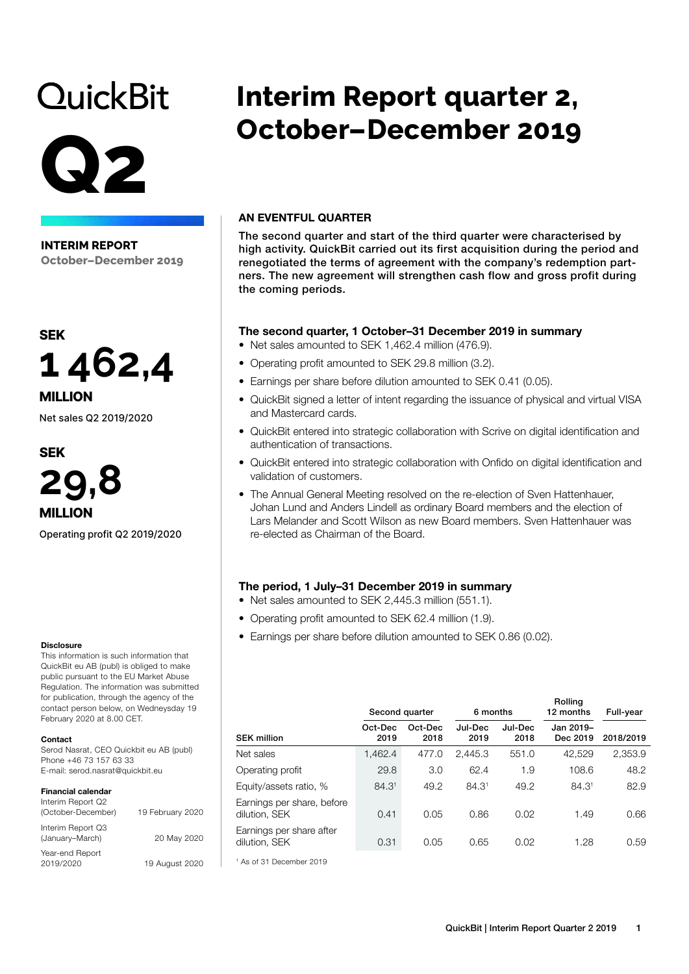# **QuickBit**

# **Q2**

**INTERIM REPORT October–December 2019**



Net sales Q2 2019/2020

### **SEK**



Operating profit Q2 2019/2020

#### **Disclosure**

This information is such information that QuickBit eu AB (publ) is obliged to make public pursuant to the EU Market Abuse Regulation. The information was submitted for publication, through the agency of the contact person below, on Wedneysday 19 February 2020 at 8.00 CET.

#### Contact

Serod Nasrat, CEO Quickbit eu AB (publ) Phone +46 73 157 63 33 E-mail: serod.nasrat@quickbit.eu

### Financial calendar

| Interim Report Q2<br>(October-December) | 19 February 2020 |
|-----------------------------------------|------------------|
| Interim Report Q3<br>(January-March)    | 20 May 2020      |
| Year-end Report<br>2019/2020            | 19 August 2020   |

# **Interim Report quarter 2, October–December 2019**

### AN EVENTFUL QUARTER

The second quarter and start of the third quarter were characterised by high activity. QuickBit carried out its first acquisition during the period and renegotiated the terms of agreement with the company's redemption partners. The new agreement will strengthen cash flow and gross profit during the coming periods.

# The second quarter, 1 October–31 December 2019 in summary

- Net sales amounted to SEK 1,462.4 million (476.9).
- Operating profit amounted to SEK 29.8 million (3.2).
- Earnings per share before dilution amounted to SEK 0.41 (0.05).
- QuickBit signed a letter of intent regarding the issuance of physical and virtual VISA and Mastercard cards.
- QuickBit entered into strategic collaboration with Scrive on digital identification and authentication of transactions.
- QuickBit entered into strategic collaboration with Onfido on digital identification and validation of customers.
- The Annual General Meeting resolved on the re-election of Sven Hattenhauer, Johan Lund and Anders Lindell as ordinary Board members and the election of Lars Melander and Scott Wilson as new Board members. Sven Hattenhauer was re-elected as Chairman of the Board.

# The period, 1 July–31 December 2019 in summary

- Net sales amounted to SEK 2,445.3 million (551.1).
- Operating profit amounted to SEK 62.4 million (1.9).
- Earnings per share before dilution amounted to SEK 0.86 (0.02).

|                                             | Second quarter  | 6 months        |                 |                 | Rolling<br>12 months  | Full-year |
|---------------------------------------------|-----------------|-----------------|-----------------|-----------------|-----------------------|-----------|
| <b>SEK million</b>                          | Oct-Dec<br>2019 | Oct-Dec<br>2018 | Jul-Dec<br>2019 | Jul-Dec<br>2018 | Jan 2019-<br>Dec 2019 | 2018/2019 |
| Net sales                                   | 1,462.4         | 477.0           | 2.445.3         | 551.0           | 42.529                | 2,353.9   |
| Operating profit                            | 29.8            | 3.0             | 62.4            | 1.9             | 108.6                 | 48.2      |
| Equity/assets ratio, %                      | 84.31           | 49.2            | 84.31           | 49.2            | 84.31                 | 82.9      |
| Earnings per share, before<br>dilution, SEK | 0.41            | 0.05            | 0.86            | 0.02            | 1.49                  | 0.66      |
| Earnings per share after<br>dilution, SEK   | 0.31            | 0.05            | 0.65            | 0.02            | 1.28                  | 0.59      |
| <sup>1</sup> As of 31 December 2019         |                 |                 |                 |                 |                       |           |

QuickBit | Interim Report Quarter 2 2019 1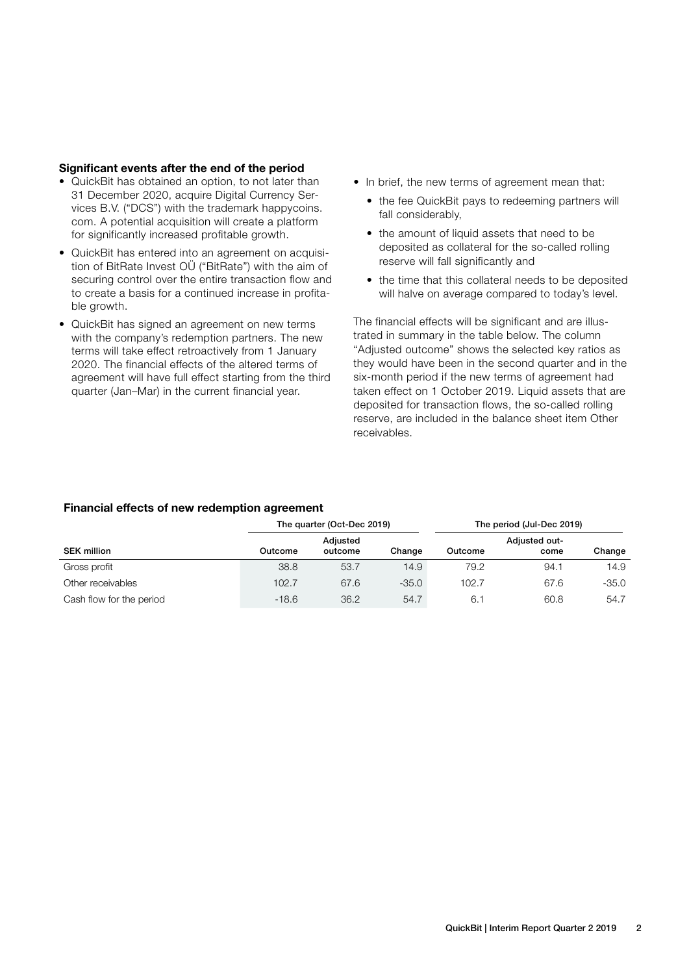### Significant events after the end of the period

- QuickBit has obtained an option, to not later than 31 December 2020, acquire Digital Currency Services B.V. ("DCS") with the trademark happycoins. com. A potential acquisition will create a platform for significantly increased profitable growth.
- QuickBit has entered into an agreement on acquisition of BitRate Invest OÜ ("BitRate") with the aim of securing control over the entire transaction flow and to create a basis for a continued increase in profitable growth.
- QuickBit has signed an agreement on new terms with the company's redemption partners. The new terms will take effect retroactively from 1 January 2020. The financial effects of the altered terms of agreement will have full effect starting from the third quarter (Jan–Mar) in the current financial year.
- In brief, the new terms of agreement mean that:
	- the fee QuickBit pays to redeeming partners will fall considerably,
	- the amount of liquid assets that need to be deposited as collateral for the so-called rolling reserve will fall significantly and
	- the time that this collateral needs to be deposited will halve on average compared to today's level.

The financial effects will be significant and are illustrated in summary in the table below. The column "Adjusted outcome" shows the selected key ratios as they would have been in the second quarter and in the six-month period if the new terms of agreement had taken effect on 1 October 2019. Liquid assets that are deposited for transaction flows, the so-called rolling reserve, are included in the balance sheet item Other receivables.

### Financial effects of new redemption agreement

|                          |         | The quarter (Oct-Dec 2019) |         | The period (Jul-Dec 2019) |                       |         |  |
|--------------------------|---------|----------------------------|---------|---------------------------|-----------------------|---------|--|
| <b>SEK million</b>       | Outcome | Adiusted<br>outcome        | Change  | Outcome                   | Adjusted out-<br>come | Change  |  |
| Gross profit             | 38.8    | 53.7                       | 14.9    | 79.2                      | 94.1                  | 14.9    |  |
| Other receivables        | 102.7   | 67.6                       | $-35.0$ | 102.7                     | 67.6                  | $-35.0$ |  |
| Cash flow for the period | $-18.6$ | 36.2                       | 54.7    | 6.                        | 60.8                  | 54.7    |  |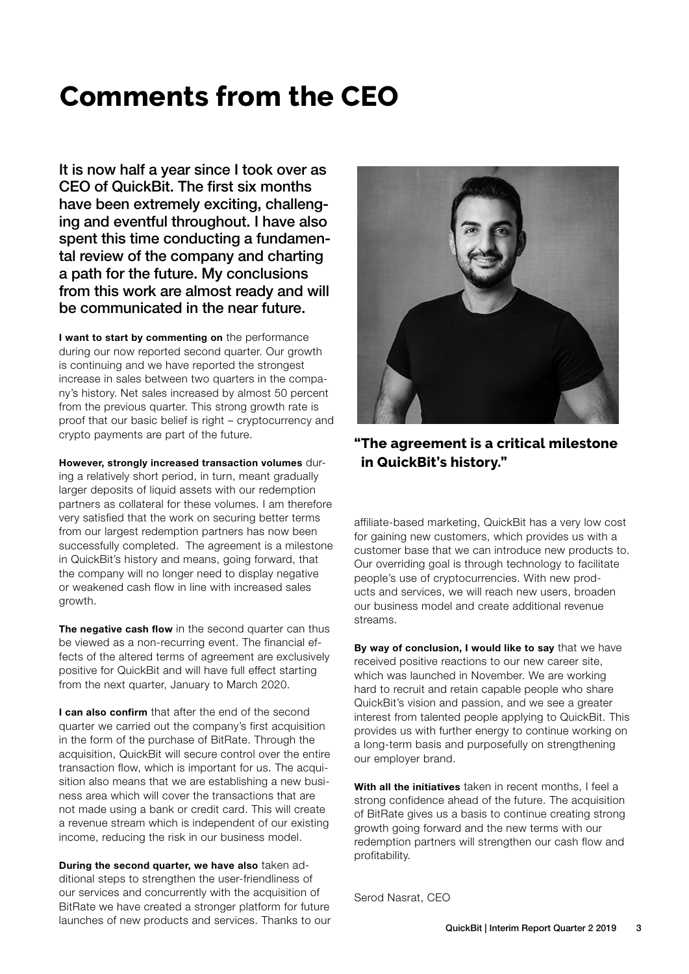# **Comments from the CEO**

It is now half a year since I took over as CEO of QuickBit. The first six months have been extremely exciting, challenging and eventful throughout. I have also spent this time conducting a fundamental review of the company and charting a path for the future. My conclusions from this work are almost ready and will be communicated in the near future.

I want to start by commenting on the performance during our now reported second quarter. Our growth is continuing and we have reported the strongest increase in sales between two quarters in the company's history. Net sales increased by almost 50 percent from the previous quarter. This strong growth rate is proof that our basic belief is right – cryptocurrency and crypto payments are part of the future.

However, strongly increased transaction volumes during a relatively short period, in turn, meant gradually larger deposits of liquid assets with our redemption partners as collateral for these volumes. I am therefore very satisfied that the work on securing better terms from our largest redemption partners has now been successfully completed. The agreement is a milestone in QuickBit's history and means, going forward, that the company will no longer need to display negative or weakened cash flow in line with increased sales growth.

The negative cash flow in the second quarter can thus be viewed as a non-recurring event. The financial effects of the altered terms of agreement are exclusively positive for QuickBit and will have full effect starting from the next quarter, January to March 2020.

I can also confirm that after the end of the second quarter we carried out the company's first acquisition in the form of the purchase of BitRate. Through the acquisition, QuickBit will secure control over the entire transaction flow, which is important for us. The acquisition also means that we are establishing a new business area which will cover the transactions that are not made using a bank or credit card. This will create a revenue stream which is independent of our existing income, reducing the risk in our business model.

During the second quarter, we have also taken additional steps to strengthen the user-friendliness of our services and concurrently with the acquisition of BitRate we have created a stronger platform for future launches of new products and services. Thanks to our



**"The agreement is a critical milestone in QuickBit's history."** 

affiliate-based marketing, QuickBit has a very low cost for gaining new customers, which provides us with a customer base that we can introduce new products to. Our overriding goal is through technology to facilitate people's use of cryptocurrencies. With new products and services, we will reach new users, broaden our business model and create additional revenue streams.

By way of conclusion, I would like to say that we have received positive reactions to our new career site, which was launched in November. We are working hard to recruit and retain capable people who share QuickBit's vision and passion, and we see a greater interest from talented people applying to QuickBit. This provides us with further energy to continue working on a long-term basis and purposefully on strengthening our employer brand.

With all the initiatives taken in recent months, I feel a strong confidence ahead of the future. The acquisition of BitRate gives us a basis to continue creating strong growth going forward and the new terms with our redemption partners will strengthen our cash flow and profitability.

Serod Nasrat, CEO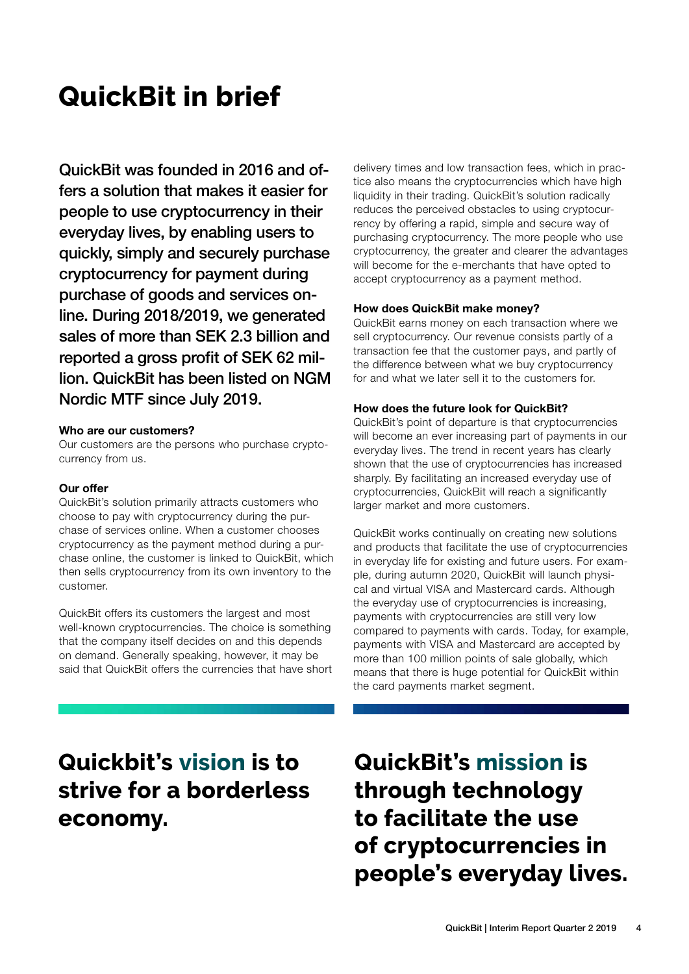# **QuickBit in brief**

QuickBit was founded in 2016 and offers a solution that makes it easier for people to use cryptocurrency in their everyday lives, by enabling users to quickly, simply and securely purchase cryptocurrency for payment during purchase of goods and services online. During 2018/2019, we generated sales of more than SEK 2.3 billion and reported a gross profit of SEK 62 million. QuickBit has been listed on NGM Nordic MTF since July 2019.

#### Who are our customers?

Our customers are the persons who purchase cryptocurrency from us.

### Our offer

QuickBit's solution primarily attracts customers who choose to pay with cryptocurrency during the purchase of services online. When a customer chooses cryptocurrency as the payment method during a purchase online, the customer is linked to QuickBit, which then sells cryptocurrency from its own inventory to the customer.

QuickBit offers its customers the largest and most well-known cryptocurrencies. The choice is something that the company itself decides on and this depends on demand. Generally speaking, however, it may be said that QuickBit offers the currencies that have short delivery times and low transaction fees, which in practice also means the cryptocurrencies which have high liquidity in their trading. QuickBit's solution radically reduces the perceived obstacles to using cryptocurrency by offering a rapid, simple and secure way of purchasing cryptocurrency. The more people who use cryptocurrency, the greater and clearer the advantages will become for the e-merchants that have opted to accept cryptocurrency as a payment method.

### How does QuickBit make money?

QuickBit earns money on each transaction where we sell cryptocurrency. Our revenue consists partly of a transaction fee that the customer pays, and partly of the difference between what we buy cryptocurrency for and what we later sell it to the customers for.

# How does the future look for QuickBit?

QuickBit's point of departure is that cryptocurrencies will become an ever increasing part of payments in our everyday lives. The trend in recent years has clearly shown that the use of cryptocurrencies has increased sharply. By facilitating an increased everyday use of cryptocurrencies, QuickBit will reach a significantly larger market and more customers.

QuickBit works continually on creating new solutions and products that facilitate the use of cryptocurrencies in everyday life for existing and future users. For example, during autumn 2020, QuickBit will launch physical and virtual VISA and Mastercard cards. Although the everyday use of cryptocurrencies is increasing, payments with cryptocurrencies are still very low compared to payments with cards. Today, for example, payments with VISA and Mastercard are accepted by more than 100 million points of sale globally, which means that there is huge potential for QuickBit within the card payments market segment.

# **Quickbit's vision is to strive for a borderless economy.**

**QuickBit's mission is through technology to facilitate the use of cryptocurrencies in people's everyday lives.**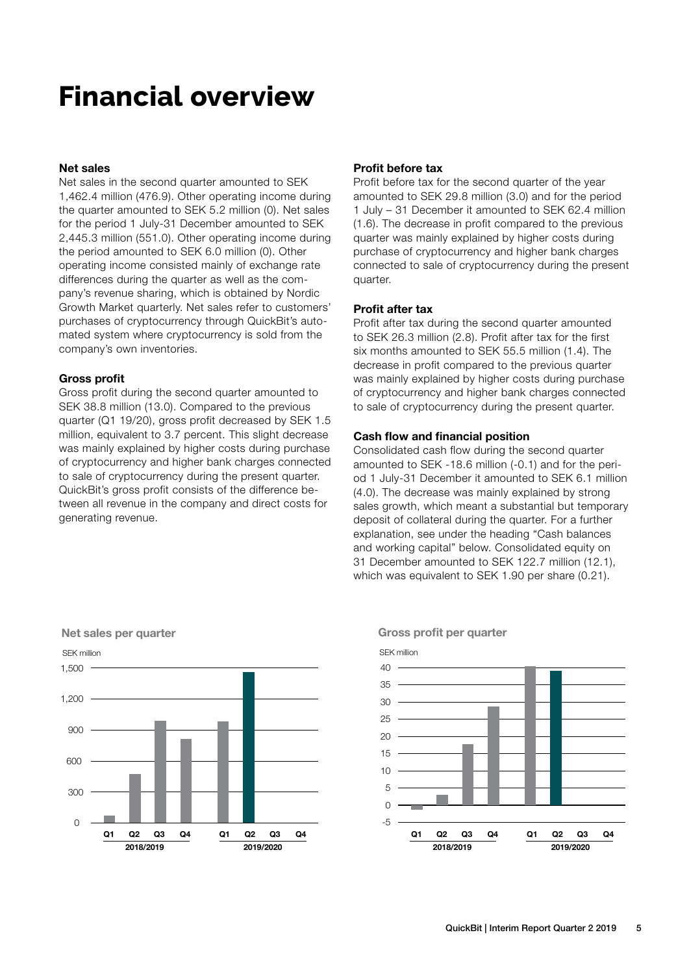# **Financial overview**

### Net sales

Net sales in the second quarter amounted to SEK 1,462.4 million (476.9). Other operating income during the quarter amounted to SEK 5.2 million (0). Net sales for the period 1 July-31 December amounted to SEK 2,445.3 million (551.0). Other operating income during the period amounted to SEK 6.0 million (0). Other operating income consisted mainly of exchange rate differences during the quarter as well as the company's revenue sharing, which is obtained by Nordic Growth Market quarterly. Net sales refer to customers' purchases of cryptocurrency through QuickBit's automated system where cryptocurrency is sold from the company's own inventories.

#### Gross profit

Gross profit during the second quarter amounted to SEK 38.8 million (13.0). Compared to the previous quarter (Q1 19/20), gross profit decreased by SEK 1.5 million, equivalent to 3.7 percent. This slight decrease was mainly explained by higher costs during purchase of cryptocurrency and higher bank charges connected to sale of cryptocurrency during the present quarter. QuickBit's gross profit consists of the difference between all revenue in the company and direct costs for generating revenue.

### Profit before tax

Profit before tax for the second quarter of the year amounted to SEK 29.8 million (3.0) and for the period 1 July – 31 December it amounted to SEK 62.4 million (1.6). The decrease in profit compared to the previous quarter was mainly explained by higher costs during purchase of cryptocurrency and higher bank charges connected to sale of cryptocurrency during the present quarter.

### Profit after tax

Profit after tax during the second quarter amounted to SEK 26.3 million (2.8). Profit after tax for the first six months amounted to SEK 55.5 million (1.4). The decrease in profit compared to the previous quarter was mainly explained by higher costs during purchase of cryptocurrency and higher bank charges connected to sale of cryptocurrency during the present quarter.

### Cash flow and financial position

Consolidated cash flow during the second quarter amounted to SEK -18.6 million (-0.1) and for the period 1 July-31 December it amounted to SEK 6.1 million (4.0). The decrease was mainly explained by strong sales growth, which meant a substantial but temporary deposit of collateral during the quarter. For a further explanation, see under the heading "Cash balances and working capital" below. Consolidated equity on 31 December amounted to SEK 122.7 million (12.1), which was equivalent to SEK 1.90 per share (0.21).



Gross profit per quarter

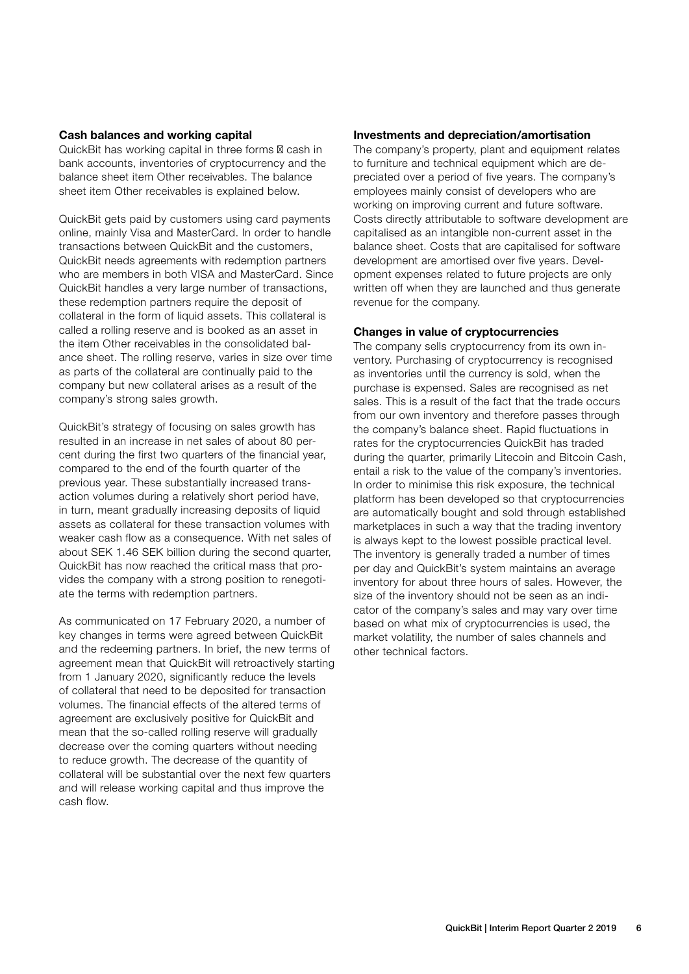### Cash balances and working capital

QuickBit has working capital in three forms ‒ cash in bank accounts, inventories of cryptocurrency and the balance sheet item Other receivables. The balance sheet item Other receivables is explained below.

QuickBit gets paid by customers using card payments online, mainly Visa and MasterCard. In order to handle transactions between QuickBit and the customers, QuickBit needs agreements with redemption partners who are members in both VISA and MasterCard. Since QuickBit handles a very large number of transactions, these redemption partners require the deposit of collateral in the form of liquid assets. This collateral is called a rolling reserve and is booked as an asset in the item Other receivables in the consolidated balance sheet. The rolling reserve, varies in size over time as parts of the collateral are continually paid to the company but new collateral arises as a result of the company's strong sales growth.

QuickBit's strategy of focusing on sales growth has resulted in an increase in net sales of about 80 percent during the first two quarters of the financial year, compared to the end of the fourth quarter of the previous year. These substantially increased transaction volumes during a relatively short period have, in turn, meant gradually increasing deposits of liquid assets as collateral for these transaction volumes with weaker cash flow as a consequence. With net sales of about SEK 1.46 SEK billion during the second quarter, QuickBit has now reached the critical mass that provides the company with a strong position to renegotiate the terms with redemption partners.

As communicated on 17 February 2020, a number of key changes in terms were agreed between QuickBit and the redeeming partners. In brief, the new terms of agreement mean that QuickBit will retroactively starting from 1 January 2020, significantly reduce the levels of collateral that need to be deposited for transaction volumes. The financial effects of the altered terms of agreement are exclusively positive for QuickBit and mean that the so-called rolling reserve will gradually decrease over the coming quarters without needing to reduce growth. The decrease of the quantity of collateral will be substantial over the next few quarters and will release working capital and thus improve the cash flow.

### Investments and depreciation/amortisation

The company's property, plant and equipment relates to furniture and technical equipment which are depreciated over a period of five years. The company's employees mainly consist of developers who are working on improving current and future software. Costs directly attributable to software development are capitalised as an intangible non-current asset in the balance sheet. Costs that are capitalised for software development are amortised over five years. Development expenses related to future projects are only written off when they are launched and thus generate revenue for the company.

# Changes in value of cryptocurrencies

The company sells cryptocurrency from its own inventory. Purchasing of cryptocurrency is recognised as inventories until the currency is sold, when the purchase is expensed. Sales are recognised as net sales. This is a result of the fact that the trade occurs from our own inventory and therefore passes through the company's balance sheet. Rapid fluctuations in rates for the cryptocurrencies QuickBit has traded during the quarter, primarily Litecoin and Bitcoin Cash, entail a risk to the value of the company's inventories. In order to minimise this risk exposure, the technical platform has been developed so that cryptocurrencies are automatically bought and sold through established marketplaces in such a way that the trading inventory is always kept to the lowest possible practical level. The inventory is generally traded a number of times per day and QuickBit's system maintains an average inventory for about three hours of sales. However, the size of the inventory should not be seen as an indicator of the company's sales and may vary over time based on what mix of cryptocurrencies is used, the market volatility, the number of sales channels and other technical factors.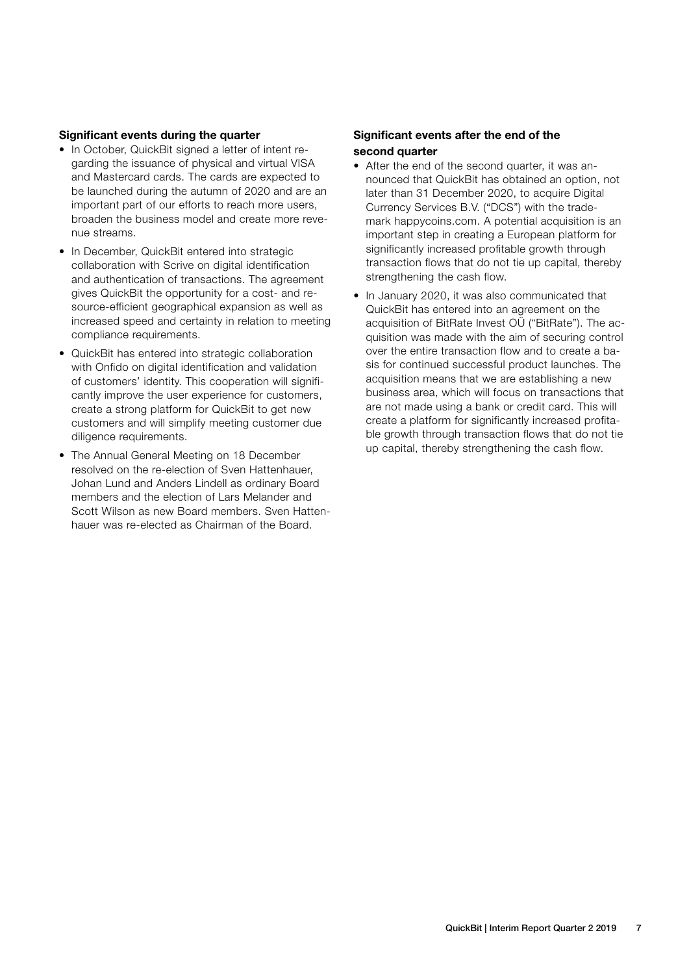### Significant events during the quarter

- In October, QuickBit signed a letter of intent regarding the issuance of physical and virtual VISA and Mastercard cards. The cards are expected to be launched during the autumn of 2020 and are an important part of our efforts to reach more users, broaden the business model and create more revenue streams.
- In December, QuickBit entered into strategic collaboration with Scrive on digital identification and authentication of transactions. The agreement gives QuickBit the opportunity for a cost- and resource-efficient geographical expansion as well as increased speed and certainty in relation to meeting compliance requirements.
- QuickBit has entered into strategic collaboration with Onfido on digital identification and validation of customers' identity. This cooperation will significantly improve the user experience for customers, create a strong platform for QuickBit to get new customers and will simplify meeting customer due diligence requirements.
- The Annual General Meeting on 18 December resolved on the re-election of Sven Hattenhauer, Johan Lund and Anders Lindell as ordinary Board members and the election of Lars Melander and Scott Wilson as new Board members. Sven Hattenhauer was re-elected as Chairman of the Board.

### Significant events after the end of the second quarter

- After the end of the second quarter, it was announced that QuickBit has obtained an option, not later than 31 December 2020, to acquire Digital Currency Services B.V. ("DCS") with the trademark happycoins.com. A potential acquisition is an important step in creating a European platform for significantly increased profitable growth through transaction flows that do not tie up capital, thereby strengthening the cash flow.
- In January 2020, it was also communicated that QuickBit has entered into an agreement on the acquisition of BitRate Invest OÜ ("BitRate"). The acquisition was made with the aim of securing control over the entire transaction flow and to create a basis for continued successful product launches. The acquisition means that we are establishing a new business area, which will focus on transactions that are not made using a bank or credit card. This will create a platform for significantly increased profitable growth through transaction flows that do not tie up capital, thereby strengthening the cash flow.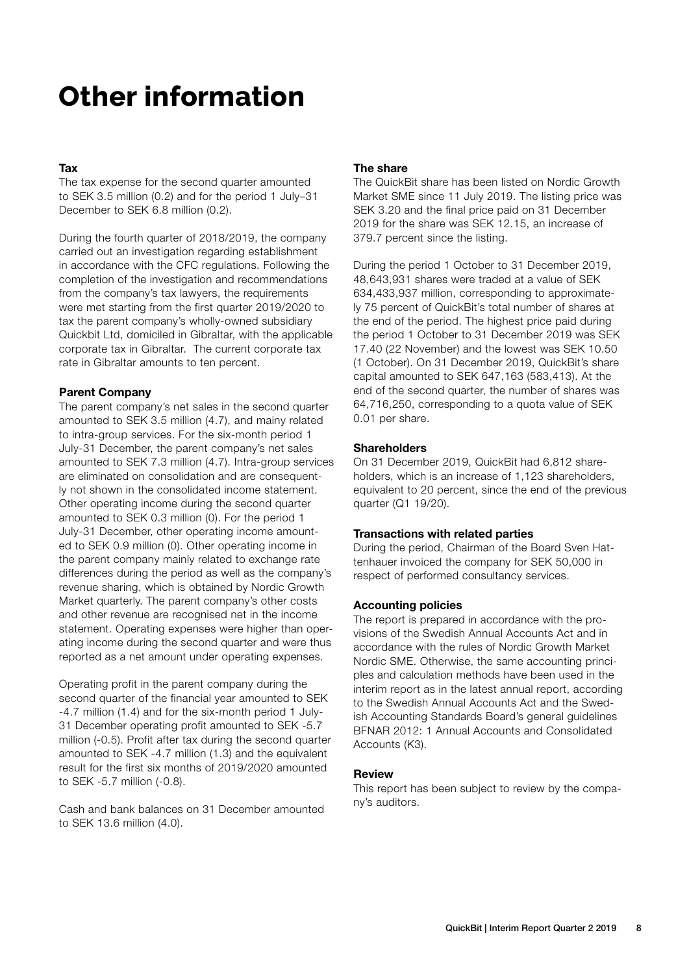# **Other information**

# Tax

The tax expense for the second quarter amounted to SEK 3.5 million (0.2) and for the period 1 July–31 December to SEK 6.8 million (0.2).

During the fourth quarter of 2018/2019, the company carried out an investigation regarding establishment in accordance with the CFC regulations. Following the completion of the investigation and recommendations from the company's tax lawyers, the requirements were met starting from the first quarter 2019/2020 to tax the parent company's wholly-owned subsidiary Quickbit Ltd, domiciled in Gibraltar, with the applicable corporate tax in Gibraltar. The current corporate tax rate in Gibraltar amounts to ten percent.

# Parent Company

The parent company's net sales in the second quarter amounted to SEK 3.5 million (4.7), and mainy related to intra-group services. For the six-month period 1 July-31 December, the parent company's net sales amounted to SEK 7.3 million (4.7). Intra-group services are eliminated on consolidation and are consequently not shown in the consolidated income statement. Other operating income during the second quarter amounted to SEK 0.3 million (0). For the period 1 July-31 December, other operating income amounted to SEK 0.9 million (0). Other operating income in the parent company mainly related to exchange rate differences during the period as well as the company's revenue sharing, which is obtained by Nordic Growth Market quarterly. The parent company's other costs and other revenue are recognised net in the income statement. Operating expenses were higher than operating income during the second quarter and were thus reported as a net amount under operating expenses.

Operating profit in the parent company during the second quarter of the financial year amounted to SEK -4.7 million (1.4) and for the six-month period 1 July-31 December operating profit amounted to SEK -5.7 million (-0.5). Profit after tax during the second quarter amounted to SEK -4.7 million (1.3) and the equivalent result for the first six months of 2019/2020 amounted to SEK -5.7 million (-0.8).

Cash and bank balances on 31 December amounted to SEK 13.6 million (4.0).

# The share

The QuickBit share has been listed on Nordic Growth Market SME since 11 July 2019. The listing price was SEK 3.20 and the final price paid on 31 December 2019 for the share was SEK 12.15, an increase of 379.7 percent since the listing.

During the period 1 October to 31 December 2019, 48,643,931 shares were traded at a value of SEK 634,433,937 million, corresponding to approximately 75 percent of QuickBit's total number of shares at the end of the period. The highest price paid during the period 1 October to 31 December 2019 was SEK 17.40 (22 November) and the lowest was SEK 10.50 (1 October). On 31 December 2019, QuickBit's share capital amounted to SEK 647,163 (583,413). At the end of the second quarter, the number of shares was 64,716,250, corresponding to a quota value of SEK 0.01 per share.

### **Shareholders**

On 31 December 2019, QuickBit had 6,812 shareholders, which is an increase of 1,123 shareholders, equivalent to 20 percent, since the end of the previous quarter (Q1 19/20).

### Transactions with related parties

During the period, Chairman of the Board Sven Hattenhauer invoiced the company for SEK 50,000 in respect of performed consultancy services.

# Accounting policies

The report is prepared in accordance with the provisions of the Swedish Annual Accounts Act and in accordance with the rules of Nordic Growth Market Nordic SME. Otherwise, the same accounting principles and calculation methods have been used in the interim report as in the latest annual report, according to the Swedish Annual Accounts Act and the Swedish Accounting Standards Board's general guidelines BFNAR 2012: 1 Annual Accounts and Consolidated Accounts (K3).

### Review

This report has been subject to review by the company's auditors.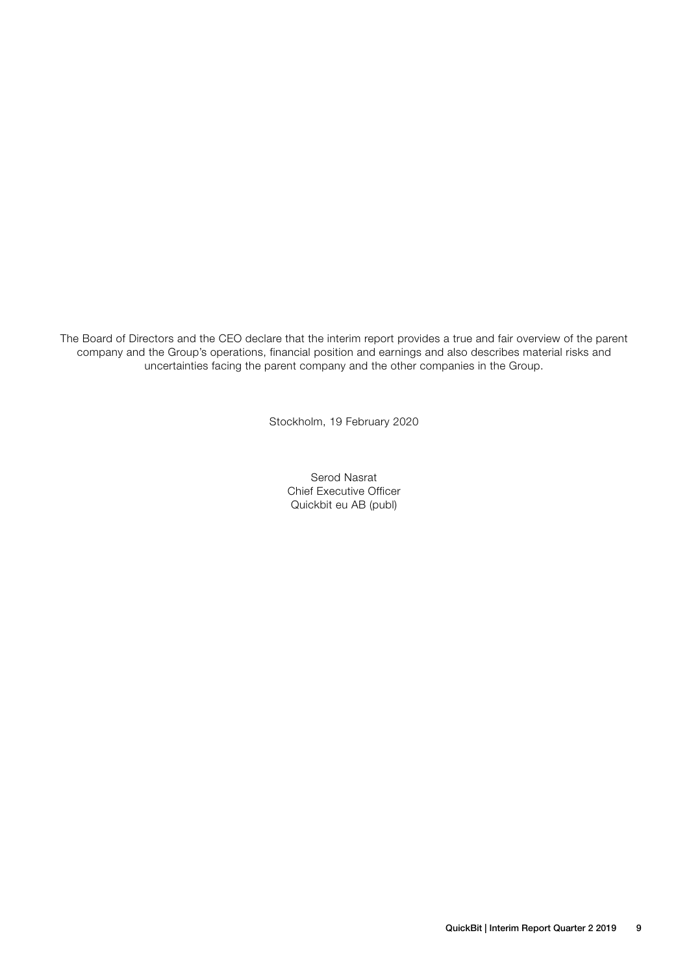The Board of Directors and the CEO declare that the interim report provides a true and fair overview of the parent company and the Group's operations, financial position and earnings and also describes material risks and uncertainties facing the parent company and the other companies in the Group.

Stockholm, 19 February 2020

Serod Nasrat Chief Executive Officer Quickbit eu AB (publ)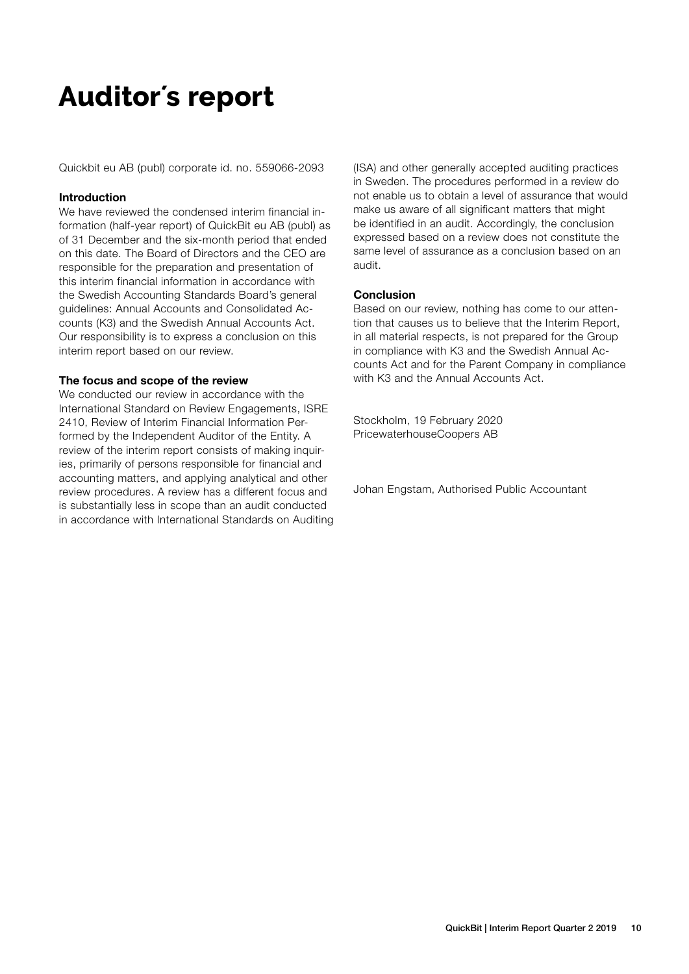# **Auditor´s report**

Quickbit eu AB (publ) corporate id. no. 559066-2093

### Introduction

We have reviewed the condensed interim financial information (half-year report) of QuickBit eu AB (publ) as of 31 December and the six-month period that ended on this date. The Board of Directors and the CEO are responsible for the preparation and presentation of this interim financial information in accordance with the Swedish Accounting Standards Board's general guidelines: Annual Accounts and Consolidated Accounts (K3) and the Swedish Annual Accounts Act. Our responsibility is to express a conclusion on this interim report based on our review.

#### The focus and scope of the review

We conducted our review in accordance with the International Standard on Review Engagements, ISRE 2410, Review of Interim Financial Information Performed by the Independent Auditor of the Entity. A review of the interim report consists of making inquiries, primarily of persons responsible for financial and accounting matters, and applying analytical and other review procedures. A review has a different focus and is substantially less in scope than an audit conducted in accordance with International Standards on Auditing (ISA) and other generally accepted auditing practices in Sweden. The procedures performed in a review do not enable us to obtain a level of assurance that would make us aware of all significant matters that might be identified in an audit. Accordingly, the conclusion expressed based on a review does not constitute the same level of assurance as a conclusion based on an audit.

#### **Conclusion**

Based on our review, nothing has come to our attention that causes us to believe that the Interim Report, in all material respects, is not prepared for the Group in compliance with K3 and the Swedish Annual Accounts Act and for the Parent Company in compliance with K3 and the Annual Accounts Act.

Stockholm, 19 February 2020 PricewaterhouseCoopers AB

Johan Engstam, Authorised Public Accountant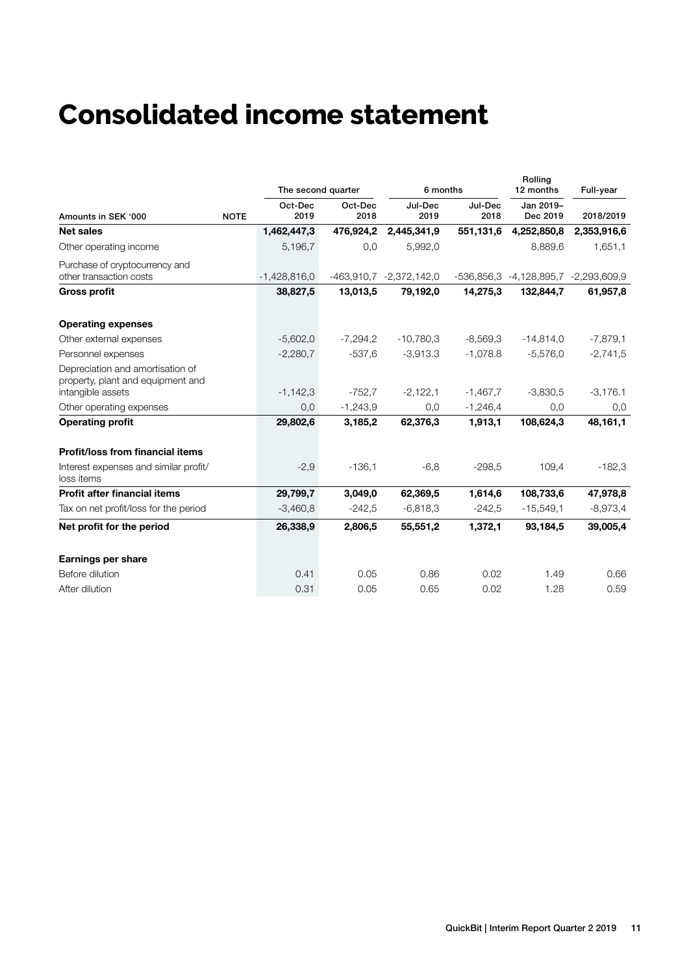# **Consolidated income statement**

|                                                                       |             | The second quarter |                 | 6 months                |                 | Rolling<br>12 months                 | Full-year   |  |
|-----------------------------------------------------------------------|-------------|--------------------|-----------------|-------------------------|-----------------|--------------------------------------|-------------|--|
| Amounts in SEK '000                                                   | <b>NOTE</b> | Oct-Dec<br>2019    | Oct-Dec<br>2018 | Jul-Dec<br>2019         | Jul-Dec<br>2018 | Jan 2019-<br>Dec 2019                | 2018/2019   |  |
| <b>Net sales</b>                                                      |             | 1,462,447,3        | 476,924,2       | 2,445,341,9             | 551,131,6       | 4,252,850,8                          | 2,353,916,6 |  |
| Other operating income                                                |             | 5,196,7            | 0,0             | 5,992,0                 |                 | 8,889,6                              | 1,651,1     |  |
| Purchase of cryptocurrency and<br>other transaction costs             |             | $-1,428,816,0$     |                 | -463,910,7 -2,372,142,0 |                 | -536,856,3 -4,128,895,7 -2,293,609,9 |             |  |
| <b>Gross profit</b>                                                   |             | 38,827,5           | 13,013,5        | 79,192,0                | 14,275,3        | 132,844,7                            | 61,957,8    |  |
| <b>Operating expenses</b>                                             |             |                    |                 |                         |                 |                                      |             |  |
| Other external expenses                                               |             | $-5,602,0$         | $-7.294.2$      | $-10,780,3$             | $-8,569,3$      | $-14,814,0$                          | $-7,879,1$  |  |
| Personnel expenses                                                    |             | $-2,280,7$         | $-537,6$        | $-3,913.3$              | $-1,078.8$      | $-5,576,0$                           | $-2,741,5$  |  |
| Depreciation and amortisation of<br>property, plant and equipment and |             |                    |                 |                         |                 |                                      |             |  |
| intangible assets                                                     |             | $-1,142,3$         | $-752,7$        | $-2,122,1$              | $-1,467,7$      | $-3,830,5$                           | $-3,176.1$  |  |
| Other operating expenses                                              |             | 0,0                | $-1,243,9$      | 0,0                     | $-1,246,4$      | 0,0                                  | 0,0         |  |
| <b>Operating profit</b>                                               |             | 29,802,6           | 3,185,2         | 62,376,3                | 1,913,1         | 108,624,3                            | 48,161,1    |  |
| <b>Profit/loss from financial items</b>                               |             |                    |                 |                         |                 |                                      |             |  |
| Interest expenses and similar profit/<br>loss items                   |             | $-2,9$             | $-136,1$        | $-6,8$                  | $-298.5$        | 109.4                                | $-182,3$    |  |
| <b>Profit after financial items</b>                                   |             | 29,799,7           | 3,049,0         | 62,369,5                | 1,614,6         | 108,733,6                            | 47,978,8    |  |
| Tax on net profit/loss for the period                                 |             | $-3,460,8$         | $-242,5$        | $-6,818,3$              | $-242.5$        | $-15,549,1$                          | $-8,973,4$  |  |
| Net profit for the period                                             |             | 26,338,9           | 2,806,5         | 55,551,2                | 1,372,1         | 93,184,5                             | 39,005,4    |  |
| <b>Earnings per share</b>                                             |             |                    |                 |                         |                 |                                      |             |  |
| Before dilution                                                       |             | 0.41               | 0.05            | 0.86                    | 0.02            | 1.49                                 | 0.66        |  |
| After dilution                                                        |             | 0.31               | 0.05            | 0.65                    | 0.02            | 1.28                                 | 0.59        |  |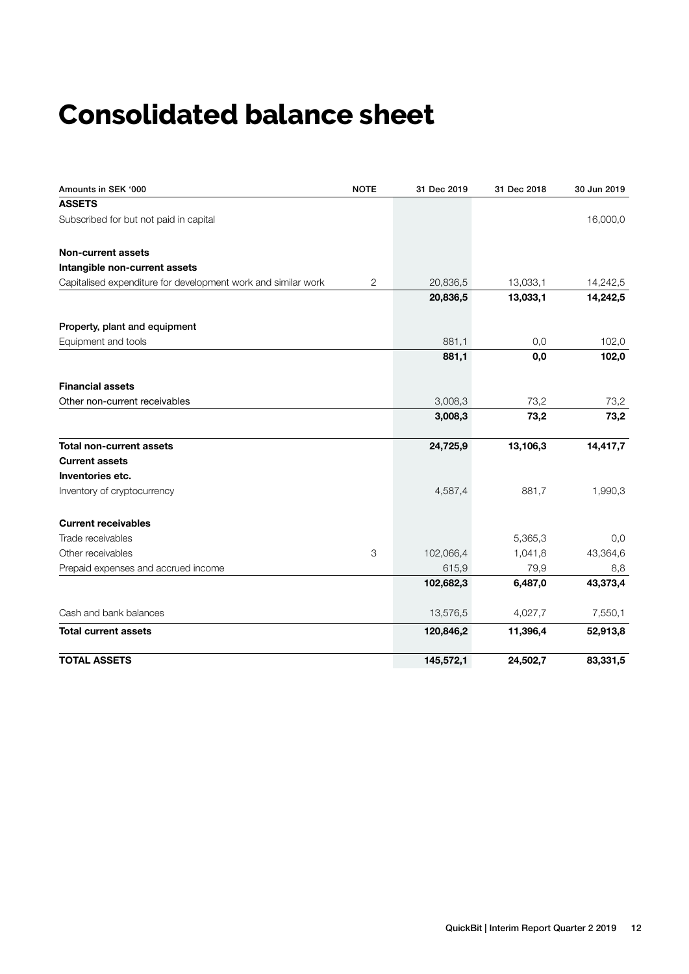# **Consolidated balance sheet**

| Amounts in SEK '000                                           | <b>NOTE</b> | 31 Dec 2019 | 31 Dec 2018 | 30 Jun 2019 |
|---------------------------------------------------------------|-------------|-------------|-------------|-------------|
| <b>ASSETS</b>                                                 |             |             |             |             |
| Subscribed for but not paid in capital                        |             |             |             | 16,000,0    |
| Non-current assets                                            |             |             |             |             |
| Intangible non-current assets                                 |             |             |             |             |
| Capitalised expenditure for development work and similar work | 2           | 20,836,5    | 13,033,1    | 14,242,5    |
|                                                               |             | 20,836,5    | 13,033,1    | 14,242,5    |
| Property, plant and equipment                                 |             |             |             |             |
| Equipment and tools                                           |             | 881,1       | 0,0         | 102,0       |
|                                                               |             | 881,1       | 0,0         | 102,0       |
| <b>Financial assets</b>                                       |             |             |             |             |
| Other non-current receivables                                 |             | 3,008,3     | 73,2        | 73,2        |
|                                                               |             | 3,008,3     | 73,2        | 73,2        |
| <b>Total non-current assets</b>                               |             | 24,725,9    | 13,106,3    | 14,417,7    |
| <b>Current assets</b>                                         |             |             |             |             |
| Inventories etc.                                              |             |             |             |             |
| Inventory of cryptocurrency                                   |             | 4,587,4     | 881.7       | 1,990,3     |
| <b>Current receivables</b>                                    |             |             |             |             |
| Trade receivables                                             |             |             | 5,365,3     | 0,0         |
| Other receivables                                             | 3           | 102,066,4   | 1,041,8     | 43,364,6    |
| Prepaid expenses and accrued income                           |             | 615,9       | 79,9        | 8,8         |
|                                                               |             | 102,682,3   | 6,487,0     | 43,373,4    |
| Cash and bank balances                                        |             | 13,576,5    | 4,027,7     | 7,550,1     |
| <b>Total current assets</b>                                   |             | 120,846,2   | 11,396,4    | 52,913,8    |
| <b>TOTAL ASSETS</b>                                           |             | 145,572,1   | 24,502,7    | 83,331,5    |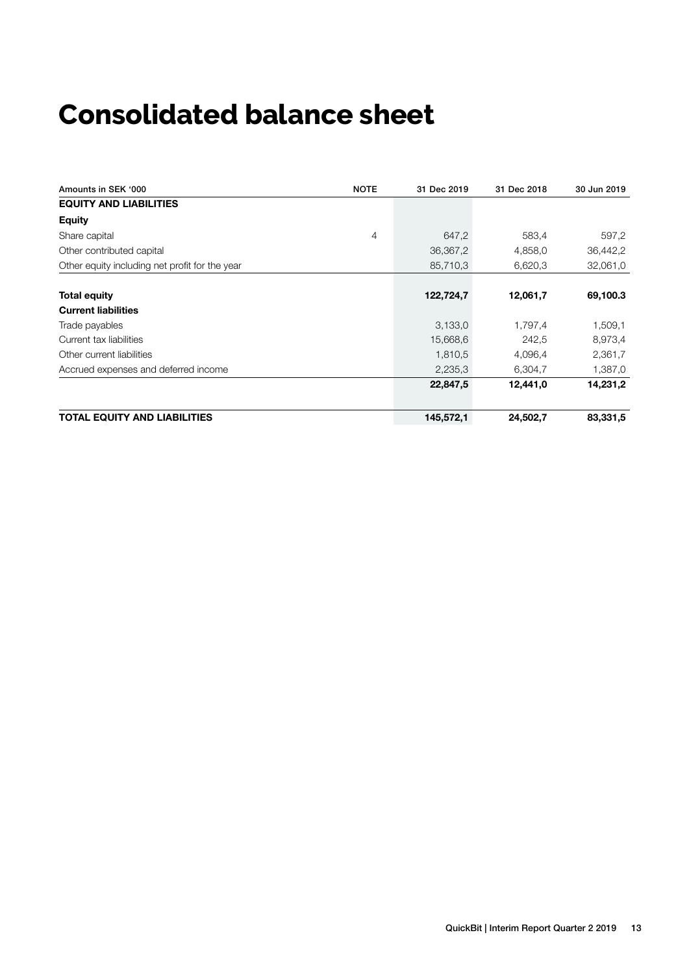# **Consolidated balance sheet**

| Amounts in SEK '000                            | <b>NOTE</b> | 31 Dec 2019 | 31 Dec 2018 | 30 Jun 2019 |
|------------------------------------------------|-------------|-------------|-------------|-------------|
| <b>EQUITY AND LIABILITIES</b>                  |             |             |             |             |
| <b>Equity</b>                                  |             |             |             |             |
| Share capital                                  | 4           | 647,2       | 583,4       | 597,2       |
| Other contributed capital                      |             | 36,367,2    | 4,858,0     | 36,442,2    |
| Other equity including net profit for the year |             | 85,710,3    | 6,620,3     | 32,061,0    |
|                                                |             |             |             |             |
| <b>Total equity</b>                            |             | 122,724,7   | 12,061,7    | 69,100.3    |
| <b>Current liabilities</b>                     |             |             |             |             |
| Trade payables                                 |             | 3,133,0     | 1,797,4     | 1,509,1     |
| Current tax liabilities                        |             | 15,668,6    | 242,5       | 8,973,4     |
| Other current liabilities                      |             | 1,810,5     | 4,096,4     | 2,361,7     |
| Accrued expenses and deferred income           |             | 2,235,3     | 6,304,7     | 1,387,0     |
|                                                |             | 22,847,5    | 12,441,0    | 14,231,2    |
| <b>TOTAL EQUITY AND LIABILITIES</b>            |             | 145,572,1   | 24,502,7    | 83,331,5    |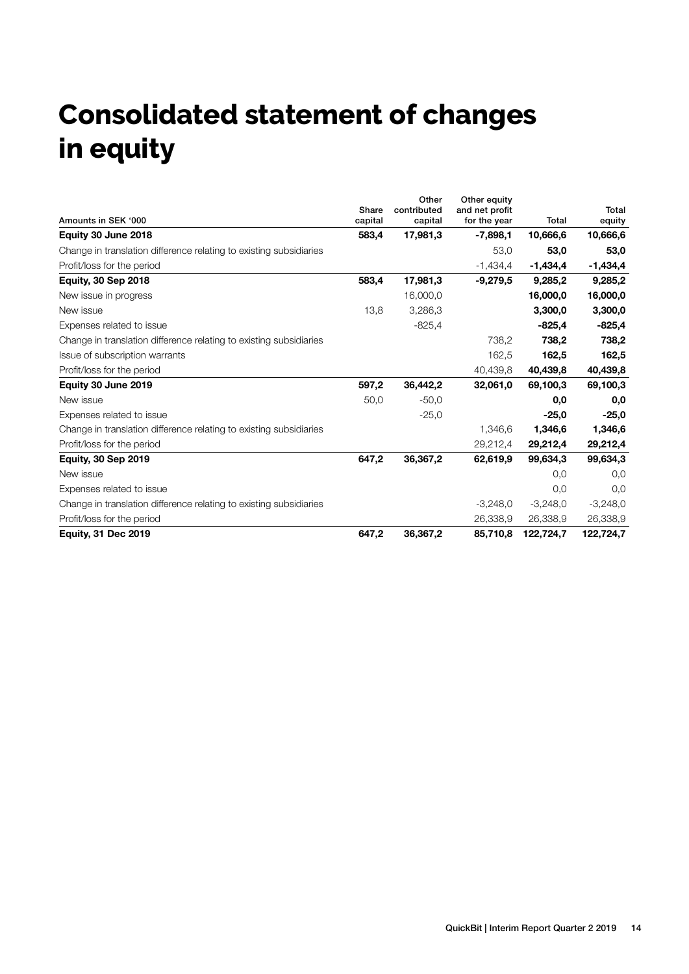# **Consolidated statement of changes in equity**

|                                                                    | Share   | Other<br>contributed | Other equity<br>and net profit |              | <b>Total</b> |
|--------------------------------------------------------------------|---------|----------------------|--------------------------------|--------------|--------------|
| Amounts in SEK '000                                                | capital | capital              | for the year                   | <b>Total</b> | equity       |
| Equity 30 June 2018                                                | 583,4   | 17,981,3             | $-7,898,1$                     | 10,666,6     | 10,666,6     |
| Change in translation difference relating to existing subsidiaries |         |                      | 53,0                           | 53,0         | 53,0         |
| Profit/loss for the period                                         |         |                      | $-1,434,4$                     | $-1,434,4$   | $-1,434,4$   |
| <b>Equity, 30 Sep 2018</b>                                         | 583,4   | 17,981,3             | $-9,279,5$                     | 9,285,2      | 9,285,2      |
| New issue in progress                                              |         | 16,000,0             |                                | 16,000,0     | 16,000,0     |
| New issue                                                          | 13,8    | 3,286,3              |                                | 3,300,0      | 3,300,0      |
| Expenses related to issue                                          |         | $-825,4$             |                                | $-825,4$     | $-825,4$     |
| Change in translation difference relating to existing subsidiaries |         |                      | 738,2                          | 738,2        | 738,2        |
| Issue of subscription warrants                                     |         |                      | 162,5                          | 162,5        | 162,5        |
| Profit/loss for the period                                         |         |                      | 40,439,8                       | 40,439,8     | 40,439,8     |
| Equity 30 June 2019                                                | 597,2   | 36,442,2             | 32,061,0                       | 69,100,3     | 69,100,3     |
| New issue                                                          | 50,0    | $-50,0$              |                                | 0,0          | 0,0          |
| Expenses related to issue                                          |         | $-25,0$              |                                | $-25,0$      | $-25,0$      |
| Change in translation difference relating to existing subsidiaries |         |                      | 1,346,6                        | 1,346,6      | 1,346,6      |
| Profit/loss for the period                                         |         |                      | 29,212,4                       | 29,212,4     | 29,212,4     |
| <b>Equity, 30 Sep 2019</b>                                         | 647,2   | 36,367,2             | 62,619,9                       | 99,634,3     | 99,634,3     |
| New issue                                                          |         |                      |                                | 0.0          | 0,0          |
| Expenses related to issue                                          |         |                      |                                | 0,0          | 0,0          |
| Change in translation difference relating to existing subsidiaries |         |                      | $-3,248,0$                     | $-3,248,0$   | $-3,248,0$   |
| Profit/loss for the period                                         |         |                      | 26.338.9                       | 26,338,9     | 26,338,9     |
| <b>Equity, 31 Dec 2019</b>                                         | 647,2   | 36,367,2             | 85,710,8                       | 122,724,7    | 122,724,7    |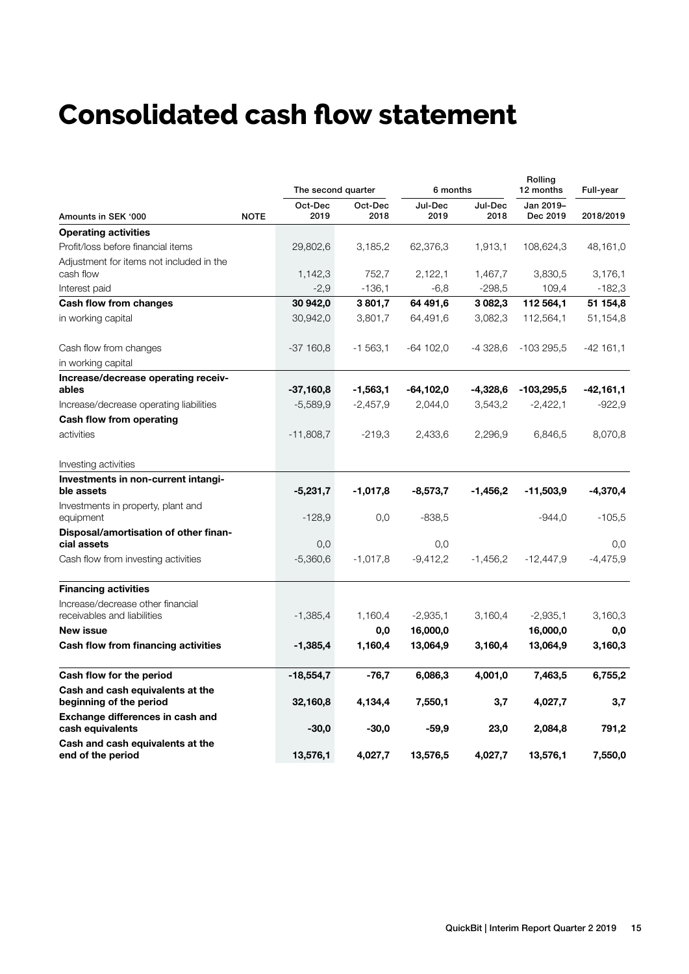# **Consolidated cash flow statement**

|                                                                  |             | The second quarter |                 | 6 months        |                 |                       | Full-year  |  |
|------------------------------------------------------------------|-------------|--------------------|-----------------|-----------------|-----------------|-----------------------|------------|--|
| Amounts in SEK '000                                              | <b>NOTE</b> | Oct-Dec<br>2019    | Oct-Dec<br>2018 | Jul-Dec<br>2019 | Jul-Dec<br>2018 | Jan 2019-<br>Dec 2019 | 2018/2019  |  |
| <b>Operating activities</b>                                      |             |                    |                 |                 |                 |                       |            |  |
| Profit/loss before financial items                               |             | 29,802,6           | 3,185,2         | 62,376,3        | 1,913,1         | 108,624,3             | 48,161,0   |  |
| Adjustment for items not included in the<br>cash flow            |             | 1,142,3            | 752,7           | 2,122,1         | 1,467,7         | 3,830,5               | 3,176,1    |  |
| Interest paid                                                    |             | $-2,9$             | $-136,1$        | $-6,8$          | $-298,5$        | 109,4                 | $-182.3$   |  |
| Cash flow from changes                                           |             | 30 942,0           | 3801,7          | 64 491,6        | 3 0 8 2 , 3     | 112 564,1             | 51 154,8   |  |
| in working capital                                               |             | 30,942,0           | 3,801,7         | 64,491,6        | 3,082,3         | 112,564,1             | 51,154,8   |  |
| Cash flow from changes                                           |             | -37 160,8          | $-1,563,1$      | $-64$ 102,0     | -4 328,6        | $-103295,5$           | $-42161,1$ |  |
| in working capital                                               |             |                    |                 |                 |                 |                       |            |  |
| Increase/decrease operating receiv-<br>ables                     |             | -37,160,8          | $-1,563,1$      | $-64, 102, 0$   | -4,328,6        | $-103,295,5$          | -42,161,1  |  |
| Increase/decrease operating liabilities                          |             | -5,589,9           | $-2,457,9$      | 2,044,0         | 3,543,2         | $-2,422,1$            | $-922,9$   |  |
| Cash flow from operating                                         |             |                    |                 |                 |                 |                       |            |  |
| activities                                                       |             | $-11,808,7$        | $-219.3$        | 2,433,6         | 2,296,9         | 6,846,5               | 8,070,8    |  |
| Investing activities                                             |             |                    |                 |                 |                 |                       |            |  |
| Investments in non-current intangi-<br>ble assets                |             | $-5,231,7$         | $-1,017,8$      | $-8,573,7$      | $-1,456,2$      | $-11,503,9$           | $-4,370,4$ |  |
| Investments in property, plant and<br>equipment                  |             | $-128.9$           | 0,0             | $-838,5$        |                 | $-944,0$              | $-105,5$   |  |
| Disposal/amortisation of other finan-<br>cial assets             |             | 0,0                |                 | 0,0             |                 |                       | 0,0        |  |
| Cash flow from investing activities                              |             | $-5,360,6$         | $-1,017,8$      | $-9,412,2$      | $-1,456,2$      | $-12,447,9$           | $-4,475,9$ |  |
| <b>Financing activities</b>                                      |             |                    |                 |                 |                 |                       |            |  |
| Increase/decrease other financial<br>receivables and liabilities |             | $-1,385,4$         | 1,160,4         | $-2,935,1$      | 3,160,4         | $-2,935,1$            | 3,160,3    |  |
| <b>New issue</b>                                                 |             |                    | 0,0             | 16,000,0        |                 | 16,000,0              | 0,0        |  |
| Cash flow from financing activities                              |             | -1,385,4           | 1,160,4         | 13,064,9        | 3,160,4         | 13,064,9              | 3,160,3    |  |
| Cash flow for the period                                         |             | -18,554,7          | -76,7           | 6,086,3         | 4,001,0         | 7,463,5               | 6,755,2    |  |
| Cash and cash equivalents at the<br>beginning of the period      |             | 32,160,8           | 4,134,4         | 7,550,1         | 3,7             | 4,027,7               | 3,7        |  |
| Exchange differences in cash and<br>cash equivalents             |             | $-30,0$            | $-30,0$         | $-59,9$         | 23,0            | 2,084,8               | 791,2      |  |
| Cash and cash equivalents at the<br>end of the period            |             | 13,576,1           | 4,027,7         | 13,576,5        | 4.027.7         | 13,576,1              | 7,550,0    |  |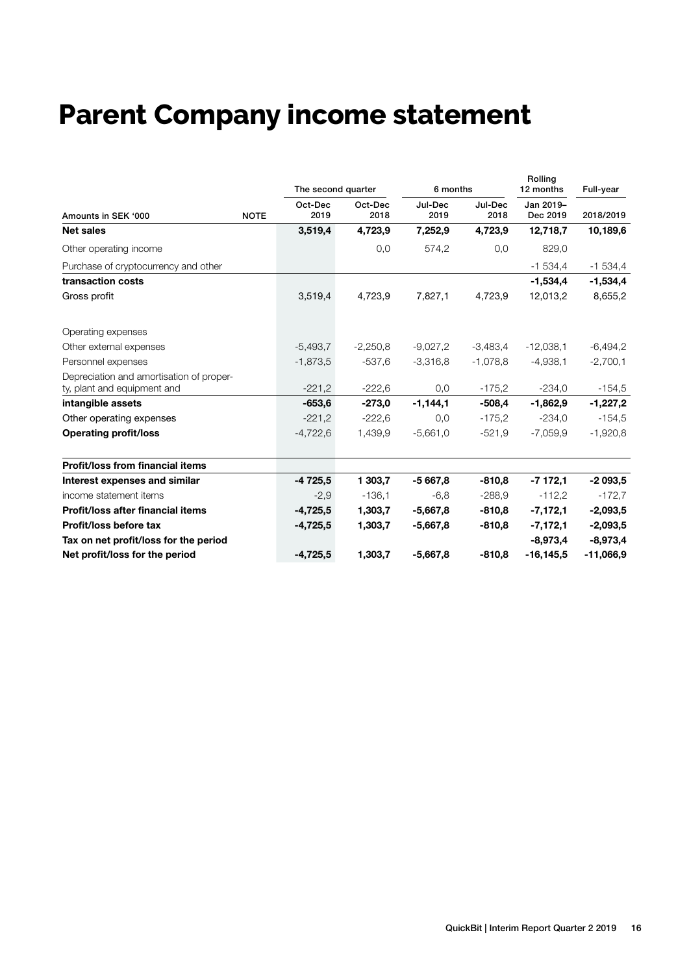# **Parent Company income statement**

|                                                                         |             | The second quarter |                 | 6 months        |                 | Rolling<br>12 months<br>Jan 2019-<br>Dec 2019 | Full-year   |
|-------------------------------------------------------------------------|-------------|--------------------|-----------------|-----------------|-----------------|-----------------------------------------------|-------------|
| Amounts in SEK '000                                                     | <b>NOTE</b> | Oct-Dec<br>2019    | Oct-Dec<br>2018 | Jul-Dec<br>2019 | Jul-Dec<br>2018 |                                               | 2018/2019   |
| <b>Net sales</b>                                                        |             | 3,519,4            | 4,723,9         | 7,252,9         | 4,723,9         | 12,718,7                                      | 10,189,6    |
| Other operating income                                                  |             |                    | 0,0             | 574,2           | 0,0             | 829,0                                         |             |
| Purchase of cryptocurrency and other                                    |             |                    |                 |                 |                 | $-1534,4$                                     | $-1534,4$   |
| transaction costs                                                       |             |                    |                 |                 |                 | $-1,534,4$                                    | $-1,534,4$  |
| Gross profit                                                            |             | 3,519,4            | 4,723,9         | 7,827,1         | 4,723,9         | 12,013,2                                      | 8,655,2     |
| Operating expenses                                                      |             |                    |                 |                 |                 |                                               |             |
| Other external expenses                                                 |             | $-5,493,7$         | $-2,250,8$      | $-9,027,2$      | $-3,483,4$      | $-12,038,1$                                   | $-6,494,2$  |
| Personnel expenses                                                      |             | $-1,873,5$         | $-537.6$        | $-3,316,8$      | $-1.078.8$      | $-4.938.1$                                    | $-2,700,1$  |
| Depreciation and amortisation of proper-<br>ty, plant and equipment and |             | $-221,2$           | $-222,6$        | 0,0             | $-175,2$        | $-234,0$                                      | $-154,5$    |
| intangible assets                                                       |             | $-653,6$           | $-273.0$        | $-1,144,1$      | $-508,4$        | $-1,862,9$                                    | $-1,227,2$  |
| Other operating expenses                                                |             | $-221,2$           | $-222.6$        | 0,0             | $-175.2$        | $-234.0$                                      | $-154,5$    |
| <b>Operating profit/loss</b>                                            |             | $-4,722,6$         | 1,439,9         | $-5,661,0$      | $-521.9$        | $-7,059,9$                                    | $-1,920,8$  |
| <b>Profit/loss from financial items</b>                                 |             |                    |                 |                 |                 |                                               |             |
| Interest expenses and similar                                           |             | $-4725,5$          | 1 303.7         | $-5667.8$       | $-810.8$        | $-7172,1$                                     | $-2093,5$   |
| income statement items                                                  |             | $-2,9$             | $-136,1$        | $-6,8$          | $-288,9$        | $-112,2$                                      | $-172,7$    |
| Profit/loss after financial items                                       |             | $-4,725,5$         | 1,303,7         | $-5,667,8$      | $-810.8$        | $-7,172,1$                                    | $-2,093,5$  |
| Profit/loss before tax                                                  |             | $-4,725,5$         | 1,303,7         | $-5,667,8$      | $-810,8$        | $-7,172,1$                                    | $-2,093,5$  |
| Tax on net profit/loss for the period                                   |             |                    |                 |                 |                 | $-8,973,4$                                    | $-8,973,4$  |
| Net profit/loss for the period                                          |             | $-4,725,5$         | 1,303,7         | $-5,667,8$      | $-810,8$        | $-16, 145, 5$                                 | $-11,066,9$ |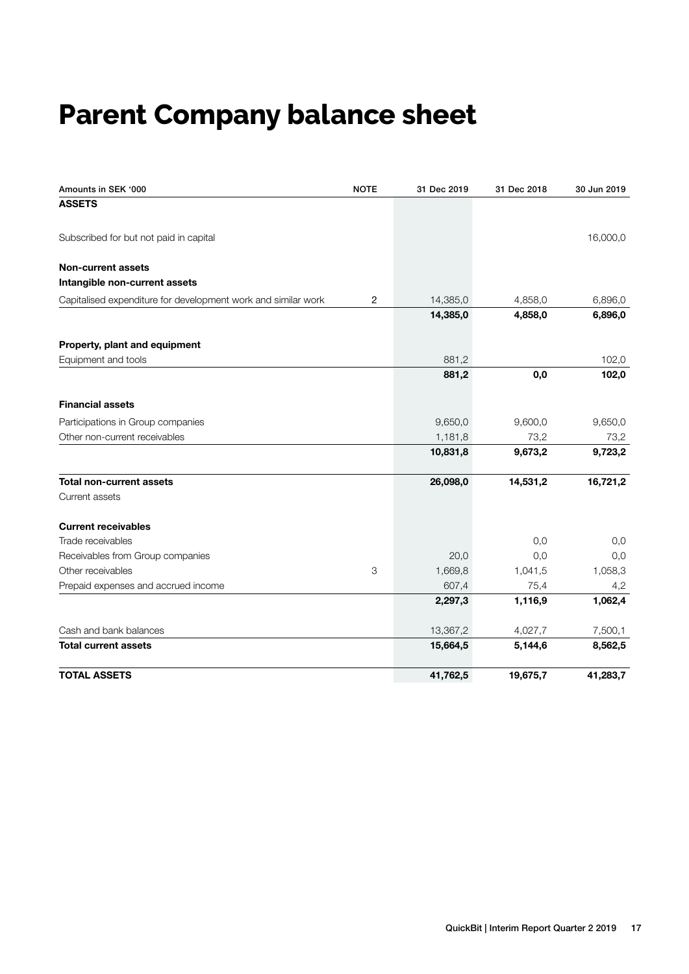# **Parent Company balance sheet**

| Amounts in SEK '000                                           | <b>NOTE</b> | 31 Dec 2019 | 31 Dec 2018 | 30 Jun 2019 |
|---------------------------------------------------------------|-------------|-------------|-------------|-------------|
| <b>ASSETS</b>                                                 |             |             |             |             |
| Subscribed for but not paid in capital                        |             |             |             | 16,000,0    |
| <b>Non-current assets</b>                                     |             |             |             |             |
| Intangible non-current assets                                 |             |             |             |             |
| Capitalised expenditure for development work and similar work | 2           | 14,385,0    | 4,858,0     | 6,896,0     |
|                                                               |             | 14,385,0    | 4,858,0     | 6,896,0     |
| Property, plant and equipment                                 |             |             |             |             |
| Equipment and tools                                           |             | 881,2       |             | 102,0       |
|                                                               |             | 881,2       | 0,0         | 102,0       |
| <b>Financial assets</b>                                       |             |             |             |             |
| Participations in Group companies                             |             | 9,650,0     | 9,600,0     | 9,650,0     |
| Other non-current receivables                                 |             | 1,181,8     | 73,2        | 73,2        |
|                                                               |             | 10,831,8    | 9,673,2     | 9,723,2     |
| <b>Total non-current assets</b>                               |             | 26,098,0    | 14,531,2    | 16,721,2    |
| Current assets                                                |             |             |             |             |
| <b>Current receivables</b>                                    |             |             |             |             |
| Trade receivables                                             |             |             | 0,0         | 0,0         |
| Receivables from Group companies                              |             | 20,0        | 0,0         | 0,0         |
| Other receivables                                             | 3           | 1,669,8     | 1,041,5     | 1,058,3     |
| Prepaid expenses and accrued income                           |             | 607,4       | 75,4        | 4,2         |
|                                                               |             | 2,297,3     | 1,116,9     | 1,062,4     |
| Cash and bank balances                                        |             | 13,367,2    | 4,027,7     | 7,500,1     |
| <b>Total current assets</b>                                   |             | 15,664,5    | 5,144,6     | 8,562,5     |
| <b>TOTAL ASSETS</b>                                           |             | 41,762,5    | 19,675,7    | 41,283,7    |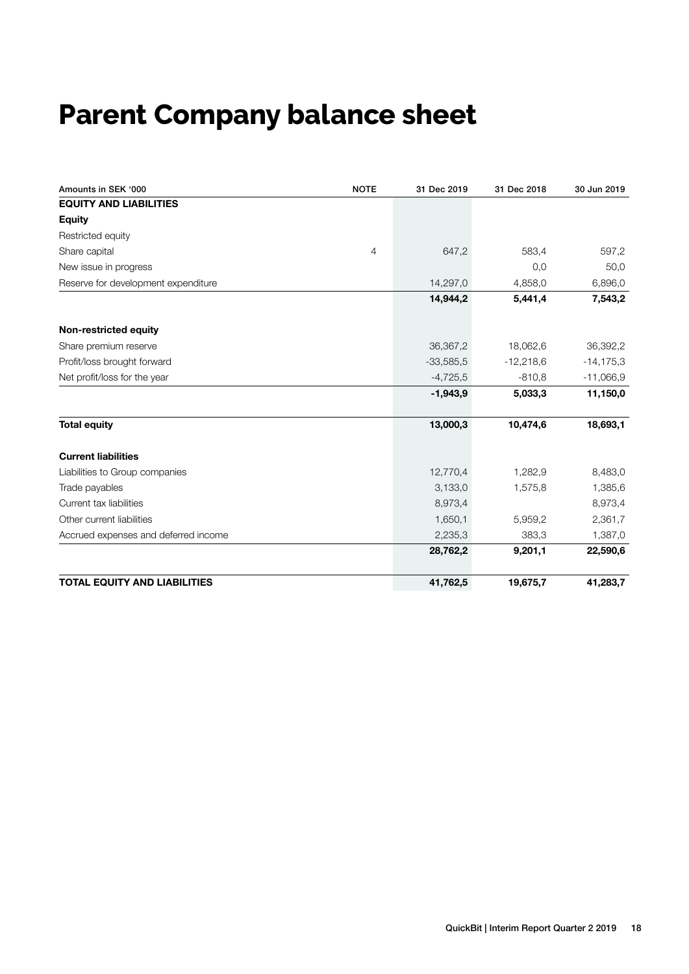# **Parent Company balance sheet**

| Amounts in SEK '000                  | <b>NOTE</b>    | 31 Dec 2019 | 31 Dec 2018 | 30 Jun 2019   |
|--------------------------------------|----------------|-------------|-------------|---------------|
| <b>EQUITY AND LIABILITIES</b>        |                |             |             |               |
| <b>Equity</b>                        |                |             |             |               |
| Restricted equity                    |                |             |             |               |
| Share capital                        | $\overline{4}$ | 647,2       | 583,4       | 597,2         |
| New issue in progress                |                |             | 0,0         | 50,0          |
| Reserve for development expenditure  |                | 14,297,0    | 4,858,0     | 6,896,0       |
|                                      |                | 14,944,2    | 5,441,4     | 7,543,2       |
| Non-restricted equity                |                |             |             |               |
| Share premium reserve                |                | 36,367,2    | 18,062,6    | 36,392,2      |
| Profit/loss brought forward          |                | $-33,585,5$ | $-12,218,6$ | $-14, 175, 3$ |
| Net profit/loss for the year         |                | $-4,725,5$  | $-810.8$    | $-11,066,9$   |
|                                      |                | $-1,943,9$  | 5,033,3     | 11,150,0      |
| <b>Total equity</b>                  |                | 13,000,3    | 10,474,6    | 18,693,1      |
| <b>Current liabilities</b>           |                |             |             |               |
| Liabilities to Group companies       |                | 12,770,4    | 1,282,9     | 8,483,0       |
| Trade payables                       |                | 3,133,0     | 1,575,8     | 1,385,6       |
| Current tax liabilities              |                | 8,973,4     |             | 8,973,4       |
| Other current liabilities            |                | 1,650,1     | 5,959,2     | 2,361,7       |
| Accrued expenses and deferred income |                | 2,235,3     | 383,3       | 1,387,0       |
|                                      |                | 28,762,2    | 9,201,1     | 22,590,6      |
| <b>TOTAL EQUITY AND LIABILITIES</b>  |                | 41,762,5    | 19,675,7    | 41,283,7      |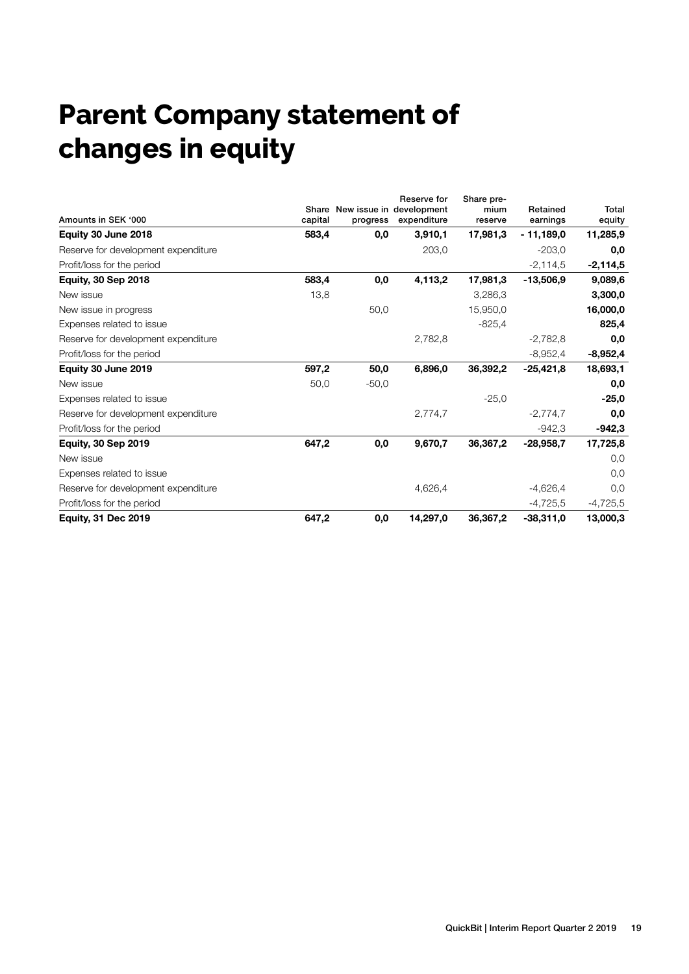# **Parent Company statement of changes in equity**

|                                     |                  |          | Reserve for                             | Share pre-      |                      |                 |
|-------------------------------------|------------------|----------|-----------------------------------------|-----------------|----------------------|-----------------|
| Amounts in SEK '000                 | Share<br>capital | progress | New issue in development<br>expenditure | mium<br>reserve | Retained<br>earnings | Total<br>equity |
| Equity 30 June 2018                 | 583,4            | 0,0      | 3,910,1                                 | 17,981,3        | $-11,189,0$          | 11,285,9        |
| Reserve for development expenditure |                  |          | 203,0                                   |                 | $-203,0$             | 0,0             |
| Profit/loss for the period          |                  |          |                                         |                 | $-2,114,5$           | $-2,114,5$      |
| <b>Equity, 30 Sep 2018</b>          | 583,4            | 0,0      | 4,113,2                                 | 17,981,3        | $-13,506,9$          | 9,089,6         |
| New issue                           | 13,8             |          |                                         | 3,286,3         |                      | 3,300,0         |
| New issue in progress               |                  | 50,0     |                                         | 15,950,0        |                      | 16,000,0        |
| Expenses related to issue           |                  |          |                                         | $-825.4$        |                      | 825,4           |
| Reserve for development expenditure |                  |          | 2,782,8                                 |                 | $-2,782,8$           | 0,0             |
| Profit/loss for the period          |                  |          |                                         |                 | $-8,952,4$           | $-8,952,4$      |
| Equity 30 June 2019                 | 597,2            | 50,0     | 6,896,0                                 | 36,392,2        | $-25,421,8$          | 18,693,1        |
| New issue                           | 50,0             | $-50,0$  |                                         |                 |                      | 0,0             |
| Expenses related to issue           |                  |          |                                         | $-25,0$         |                      | $-25,0$         |
| Reserve for development expenditure |                  |          | 2,774,7                                 |                 | $-2,774,7$           | 0,0             |
| Profit/loss for the period          |                  |          |                                         |                 | $-942,3$             | $-942,3$        |
| <b>Equity, 30 Sep 2019</b>          | 647,2            | 0,0      | 9,670,7                                 | 36,367,2        | $-28,958,7$          | 17,725,8        |
| New issue                           |                  |          |                                         |                 |                      | 0,0             |
| Expenses related to issue           |                  |          |                                         |                 |                      | 0,0             |
| Reserve for development expenditure |                  |          | 4,626,4                                 |                 | $-4,626,4$           | 0,0             |
| Profit/loss for the period          |                  |          |                                         |                 | $-4,725,5$           | $-4,725,5$      |
| <b>Equity, 31 Dec 2019</b>          | 647,2            | 0,0      | 14,297,0                                | 36,367,2        | $-38,311,0$          | 13,000,3        |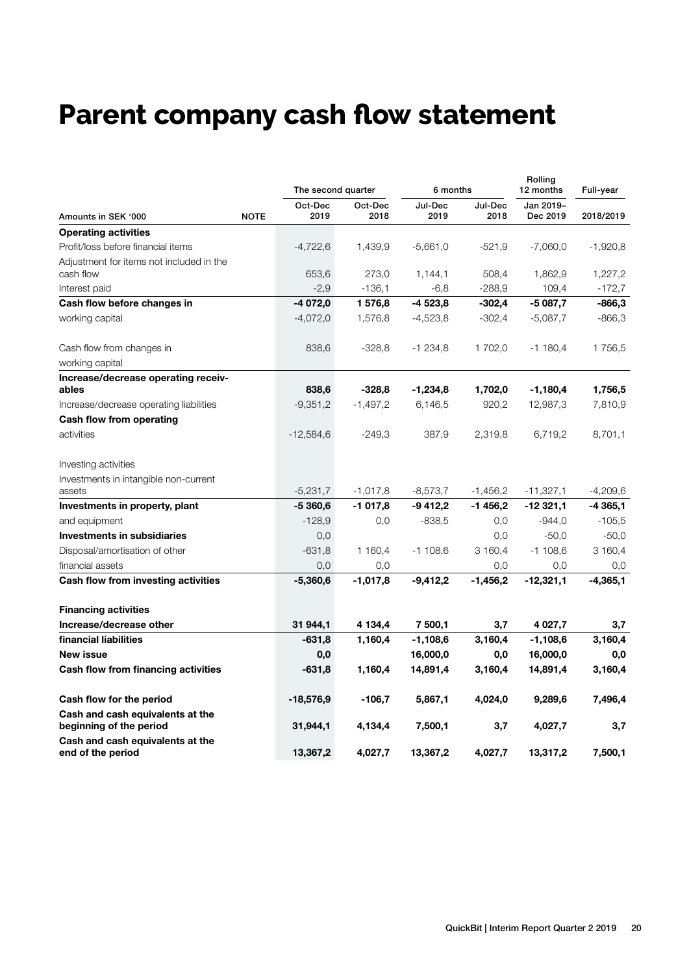# **Parent company cash flow statement**

|                                                             |             | The second quarter |                 | 6 months        |                 | Rolling<br>12 months  | Full-year  |
|-------------------------------------------------------------|-------------|--------------------|-----------------|-----------------|-----------------|-----------------------|------------|
| Amounts in SEK '000                                         | <b>NOTE</b> | Oct-Dec<br>2019    | Oct-Dec<br>2018 | Jul-Dec<br>2019 | Jul-Dec<br>2018 | Jan 2019-<br>Dec 2019 | 2018/2019  |
| <b>Operating activities</b>                                 |             |                    |                 |                 |                 |                       |            |
| Profit/loss before financial items                          |             | $-4,722,6$         | 1,439,9         | $-5,661,0$      | $-521.9$        | $-7,060,0$            | $-1,920,8$ |
| Adjustment for items not included in the<br>cash flow       |             | 653,6              | 273,0           | 1,144,1         | 508,4           | 1,862,9               | 1,227,2    |
| Interest paid                                               |             | $-2.9$             | $-136,1$        | $-6,8$          | $-288,9$        | 109,4                 | $-172,7$   |
| Cash flow before changes in                                 |             | -4 072,0           | 1 576,8         | -4 523,8        | $-302,4$        | $-5087,7$             | $-866,3$   |
| working capital                                             |             | $-4,072,0$         | 1,576,8         | $-4,523,8$      | $-302,4$        | $-5,087,7$            | $-866,3$   |
| Cash flow from changes in                                   |             | 838,6              | $-328,8$        | $-1234,8$       | 1 702,0         | $-1180,4$             | 1756,5     |
| working capital                                             |             |                    |                 |                 |                 |                       |            |
| Increase/decrease operating receiv-                         |             |                    |                 |                 |                 |                       |            |
| ables                                                       |             | 838,6              | $-328.8$        | $-1,234,8$      | 1,702,0         | $-1,180,4$            | 1,756,5    |
| Increase/decrease operating liabilities                     |             | $-9,351,2$         | $-1,497,2$      | 6,146,5         | 920,2           | 12,987,3              | 7,810,9    |
| Cash flow from operating                                    |             |                    |                 |                 |                 |                       |            |
| activities                                                  |             | $-12,584,6$        | $-249.3$        | 387,9           | 2,319,8         | 6,719,2               | 8,701,1    |
| Investing activities                                        |             |                    |                 |                 |                 |                       |            |
| Investments in intangible non-current<br>assets             |             | $-5,231,7$         | $-1,017,8$      | $-8,573,7$      | $-1,456,2$      | $-11,327,1$           | $-4,209,6$ |
| Investments in property, plant                              |             | $-5360,6$          | $-1017,8$       | $-9412,2$       | $-1456,2$       | $-12321,1$            | $-4365,1$  |
| and equipment                                               |             | $-128,9$           | 0,0             | $-838,5$        | 0,0             | $-944,0$              | $-105,5$   |
| Investments in subsidiaries                                 |             | 0,0                |                 |                 | 0,0             | $-50,0$               | $-50,0$    |
| Disposal/amortisation of other                              |             | $-631,8$           | 1 160,4         | -1 108,6        | 3 160,4         | $-1108,6$             | 3 160,4    |
| financial assets                                            |             | 0,0                | 0,0             |                 | 0,0             | 0,0                   | 0,0        |
| Cash flow from investing activities                         |             | $-5,360,6$         | $-1,017,8$      | -9,412,2        | $-1,456,2$      | $-12,321,1$           | $-4,365,1$ |
| <b>Financing activities</b>                                 |             |                    |                 |                 |                 |                       |            |
| Increase/decrease other                                     |             | 31 944,1           | 4 134,4         | 7 500,1         | 3,7             | 4 0 27,7              | 3,7        |
| financial liabilities                                       |             | $-631,8$           | 1,160,4         | $-1,108,6$      | 3,160,4         | $-1,108,6$            | 3,160,4    |
| New issue                                                   |             | 0,0                |                 | 16,000,0        | 0,0             | 16,000,0              | 0,0        |
| Cash flow from financing activities                         |             | $-631,8$           | 1,160,4         | 14,891,4        | 3,160,4         | 14,891,4              | 3,160,4    |
| Cash flow for the period                                    |             | -18,576,9          | $-106,7$        | 5,867,1         | 4,024,0         | 9,289,6               | 7,496,4    |
| Cash and cash equivalents at the<br>beginning of the period |             | 31,944,1           | 4,134,4         | 7,500,1         | 3,7             | 4,027,7               | 3,7        |
| Cash and cash equivalents at the<br>end of the period       |             | 13,367,2           | 4,027,7         | 13,367,2        | 4,027,7         | 13,317,2              | 7,500,1    |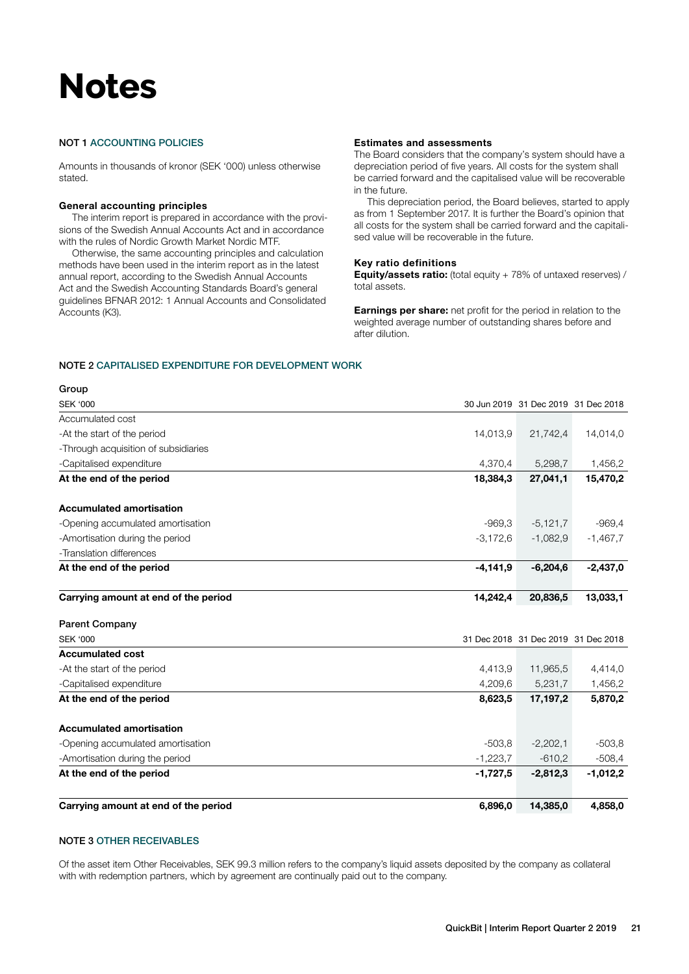# **Notes**

#### NOT 1 ACCOUNTING POLICIES

Amounts in thousands of kronor (SEK '000) unless otherwise stated.

#### General accounting principles

The interim report is prepared in accordance with the provisions of the Swedish Annual Accounts Act and in accordance with the rules of Nordic Growth Market Nordic MTF.

Otherwise, the same accounting principles and calculation methods have been used in the interim report as in the latest annual report, according to the Swedish Annual Accounts Act and the Swedish Accounting Standards Board's general guidelines BFNAR 2012: 1 Annual Accounts and Consolidated Accounts (K3).

#### Estimates and assessments

The Board considers that the company's system should have a depreciation period of five years. All costs for the system shall be carried forward and the capitalised value will be recoverable in the future.

This depreciation period, the Board believes, started to apply as from 1 September 2017. It is further the Board's opinion that all costs for the system shall be carried forward and the capitalised value will be recoverable in the future.

#### Key ratio definitions

Equity/assets ratio: (total equity + 78% of untaxed reserves) / total assets.

Earnings per share: net profit for the period in relation to the weighted average number of outstanding shares before and after dilution.

#### NOTE 2 CAPITALISED EXPENDITURE FOR DEVELOPMENT WORK

#### Group

| <b>SEK '000</b>                      |            | 30 Jun 2019 31 Dec 2019 31 Dec 2018 |            |
|--------------------------------------|------------|-------------------------------------|------------|
| Accumulated cost                     |            |                                     |            |
| -At the start of the period          | 14,013,9   | 21,742,4                            | 14,014,0   |
| -Through acquisition of subsidiaries |            |                                     |            |
| -Capitalised expenditure             | 4,370,4    | 5,298,7                             | 1,456,2    |
| At the end of the period             | 18,384,3   | 27,041,1                            | 15,470,2   |
| <b>Accumulated amortisation</b>      |            |                                     |            |
| -Opening accumulated amortisation    | $-969.3$   | $-5,121,7$                          | $-969,4$   |
| -Amortisation during the period      | $-3,172,6$ | $-1,082,9$                          | $-1,467,7$ |
| -Translation differences             |            |                                     |            |
| At the end of the period             | $-4,141,9$ | $-6,204,6$                          | $-2,437,0$ |
| Carrying amount at end of the period | 14,242,4   | 20,836,5                            | 13,033,1   |
| <b>Parent Company</b>                |            |                                     |            |
| <b>SEK '000</b>                      |            | 31 Dec 2018 31 Dec 2019 31 Dec 2018 |            |
| <b>Accumulated cost</b>              |            |                                     |            |
| -At the start of the period          | 4,413,9    | 11,965,5                            | 4,414,0    |
| -Capitalised expenditure             | 4,209,6    | 5,231,7                             | 1,456,2    |
| At the end of the period             | 8,623,5    | 17,197,2                            | 5,870,2    |
| <b>Accumulated amortisation</b>      |            |                                     |            |
| -Opening accumulated amortisation    | $-503,8$   | $-2,202,1$                          | $-503,8$   |
| -Amortisation during the period      | $-1,223,7$ | $-610,2$                            | $-508,4$   |
| At the end of the period             | $-1,727,5$ | $-2,812,3$                          | $-1,012,2$ |
| Carrying amount at end of the period | 6,896,0    | 14,385,0                            | 4,858,0    |

#### NOTE 3 OTHER RECEIVABLES

Of the asset item Other Receivables, SEK 99.3 million refers to the company's liquid assets deposited by the company as collateral with with redemption partners, which by agreement are continually paid out to the company.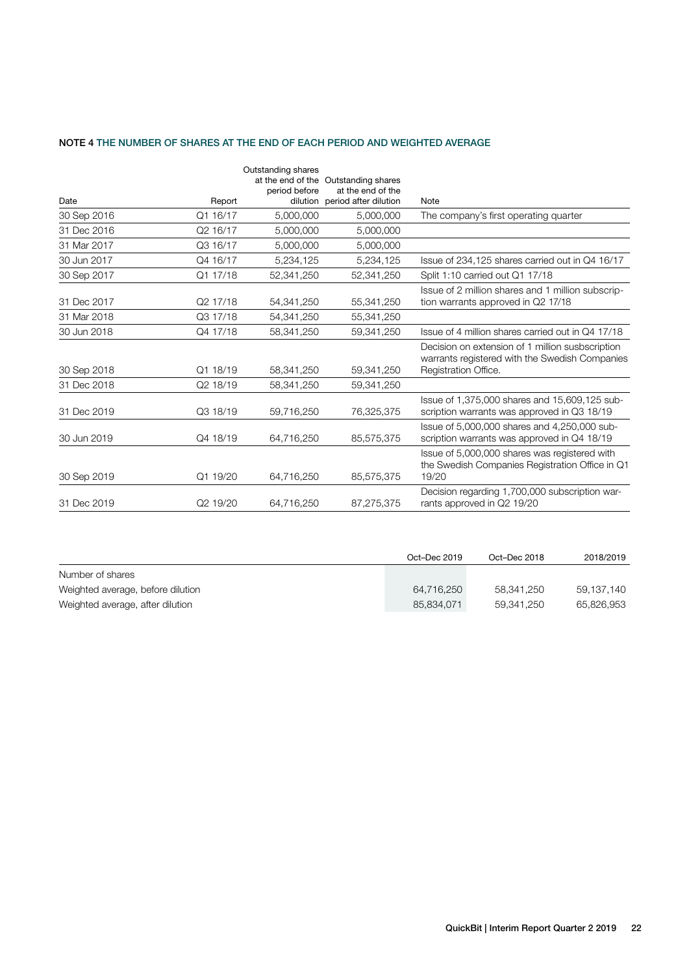#### NOTE 4 THE NUMBER OF SHARES AT THE END OF EACH PERIOD AND WEIGHTED AVERAGE

|             |          | Outstanding shares<br>period before | at the end of the Outstanding shares<br>at the end of the |                                                                                                                            |
|-------------|----------|-------------------------------------|-----------------------------------------------------------|----------------------------------------------------------------------------------------------------------------------------|
| Date        | Report   |                                     | dilution period after dilution                            | Note                                                                                                                       |
| 30 Sep 2016 | Q1 16/17 | 5.000.000                           | 5,000,000                                                 | The company's first operating quarter                                                                                      |
| 31 Dec 2016 | Q2 16/17 | 5,000,000                           | 5,000,000                                                 |                                                                                                                            |
| 31 Mar 2017 | Q3 16/17 | 5,000,000                           | 5,000,000                                                 |                                                                                                                            |
| 30 Jun 2017 | Q4 16/17 | 5,234,125                           | 5,234,125                                                 | Issue of 234,125 shares carried out in Q4 16/17                                                                            |
| 30 Sep 2017 | Q1 17/18 | 52,341,250                          | 52,341,250                                                | Split 1:10 carried out Q1 17/18                                                                                            |
| 31 Dec 2017 | Q2 17/18 | 54.341.250                          | 55,341,250                                                | Issue of 2 million shares and 1 million subscrip-<br>tion warrants approved in Q2 17/18                                    |
| 31 Mar 2018 | Q3 17/18 | 54,341,250                          | 55,341,250                                                |                                                                                                                            |
| 30 Jun 2018 | Q4 17/18 | 58,341,250                          | 59,341,250                                                | Issue of 4 million shares carried out in Q4 17/18                                                                          |
| 30 Sep 2018 | Q1 18/19 | 58.341.250                          | 59,341,250                                                | Decision on extension of 1 million susbscription<br>warrants registered with the Swedish Companies<br>Registration Office. |
| 31 Dec 2018 | Q2 18/19 | 58,341,250                          | 59,341,250                                                |                                                                                                                            |
| 31 Dec 2019 | Q3 18/19 | 59,716,250                          | 76,325,375                                                | Issue of 1,375,000 shares and 15,609,125 sub-<br>scription warrants was approved in Q3 18/19                               |
| 30 Jun 2019 | Q4 18/19 | 64,716,250                          | 85,575,375                                                | Issue of 5,000,000 shares and 4,250,000 sub-<br>scription warrants was approved in Q4 18/19                                |
| 30 Sep 2019 | Q1 19/20 | 64,716,250                          | 85,575,375                                                | Issue of 5,000,000 shares was registered with<br>the Swedish Companies Registration Office in Q1<br>19/20                  |
| 31 Dec 2019 | Q2 19/20 | 64,716,250                          | 87,275,375                                                | Decision regarding 1,700,000 subscription war-<br>rants approved in Q2 19/20                                               |

|                                   | Oct-Dec 2019 | Oct-Dec 2018 | 2018/2019  |
|-----------------------------------|--------------|--------------|------------|
| Number of shares                  |              |              |            |
| Weighted average, before dilution | 64,716,250   | 58.341.250   | 59.137.140 |
| Weighted average, after dilution  | 85.834.071   | 59.341.250   | 65.826.953 |